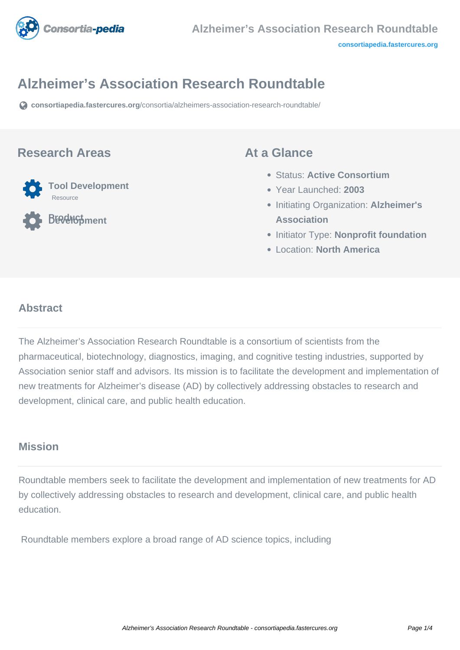

# **Alzheimer's Association Research Roundtable**

**[consortiapedia.fastercures.org](https://consortiapedia.fastercures.org/consortia/alzheimers-association-research-roundtable/)**[/consortia/alzheimers-association-research-roundtable/](https://consortiapedia.fastercures.org/consortia/alzheimers-association-research-roundtable/)

#### **Research Areas**



**Product Development**

#### **At a Glance**

- Status: **Active Consortium**
- Year Launched: **2003**
- Initiating Organization: **Alzheimer's Association**
- **Initiator Type: Nonprofit foundation**
- Location: **North America**

#### $\overline{a}$ **Abstract**

The Alzheimer's Association Research Roundtable is a consortium of scientists from the pharmaceutical, biotechnology, diagnostics, imaging, and cognitive testing industries, supported by Association senior staff and advisors. Its mission is to facilitate the development and implementation of new treatments for Alzheimer's disease (AD) by collectively addressing obstacles to research and development, clinical care, and public health education.

#### **Mission**

Roundtable members seek to facilitate the development and implementation of new treatments for AD by collectively addressing obstacles to research and development, clinical care, and public health education.

Roundtable members explore a broad range of AD science topics, including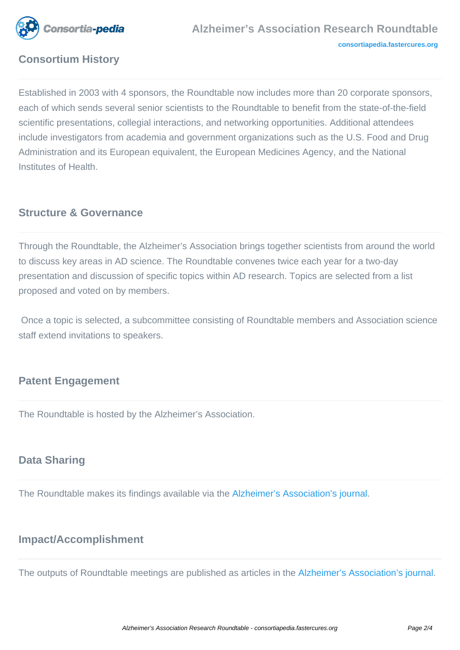

# **Consortium History**

Established in 2003 with 4 sponsors, the Roundtable now includes more than 20 corporate sponsors, each of which sends several senior scientists to the Roundtable to benefit from the state-of-the-field scientific presentations, collegial interactions, and networking opportunities. Additional attendees include investigators from academia and government organizations such as the U.S. Food and Drug Administration and its European equivalent, the European Medicines Agency, and the National Institutes of Health.

### **Structure & Governance**

Through the Roundtable, the Alzheimer's Association brings together scientists from around the world to discuss key areas in AD science. The Roundtable convenes twice each year for a two-day presentation and discussion of specific topics within AD research. Topics are selected from a list proposed and voted on by members.

 Once a topic is selected, a subcommittee consisting of Roundtable members and Association science staff extend invitations to speakers.

# **Patent Engagement**

The Roundtable is hosted by the Alzheimer's Association.

## **Data Sharing**

The Roundtable makes its findings available via the [Alzheimer's Association's journal](http://www.alzheimersanddementia.com/).

#### **Impact/Accomplishment**

The outputs of Roundtable meetings are published as articles in the [Alzheimer's Association's journal.](http://www.alzheimersanddementia.com/)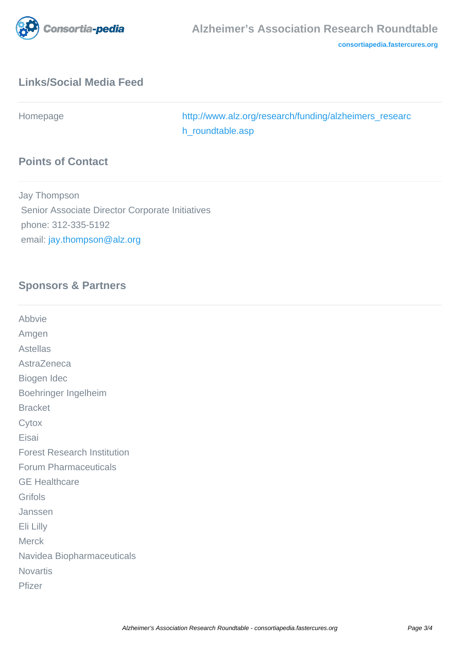

# **Links/Social Media Feed**

Homepage [http://www.alz.org/research/funding/alzheimers\\_researc](http://www.alz.org/research/funding/alzheimers_research_roundtable.asp) [h\\_roundtable.asp](http://www.alz.org/research/funding/alzheimers_research_roundtable.asp)

# **Points of Contact**

Jay Thompson Senior Associate Director Corporate Initiatives phone: 312-335-5192 email: [jay.thompson@alz.org](mailto:jay.thompson@alz.org)

#### **Sponsors & Partners**

| Abbvie                             |
|------------------------------------|
| Amgen                              |
| <b>Astellas</b>                    |
| AstraZeneca                        |
| Biogen Idec                        |
| Boehringer Ingelheim               |
| <b>Bracket</b>                     |
| Cytox                              |
| Eisai                              |
| <b>Forest Research Institution</b> |
| <b>Forum Pharmaceuticals</b>       |
| <b>GE Healthcare</b>               |
| Grifols                            |
| Janssen                            |
| Eli Lilly                          |
| <b>Merck</b>                       |
| Navidea Biopharmaceuticals         |
| <b>Novartis</b>                    |
| Pfizer                             |
|                                    |